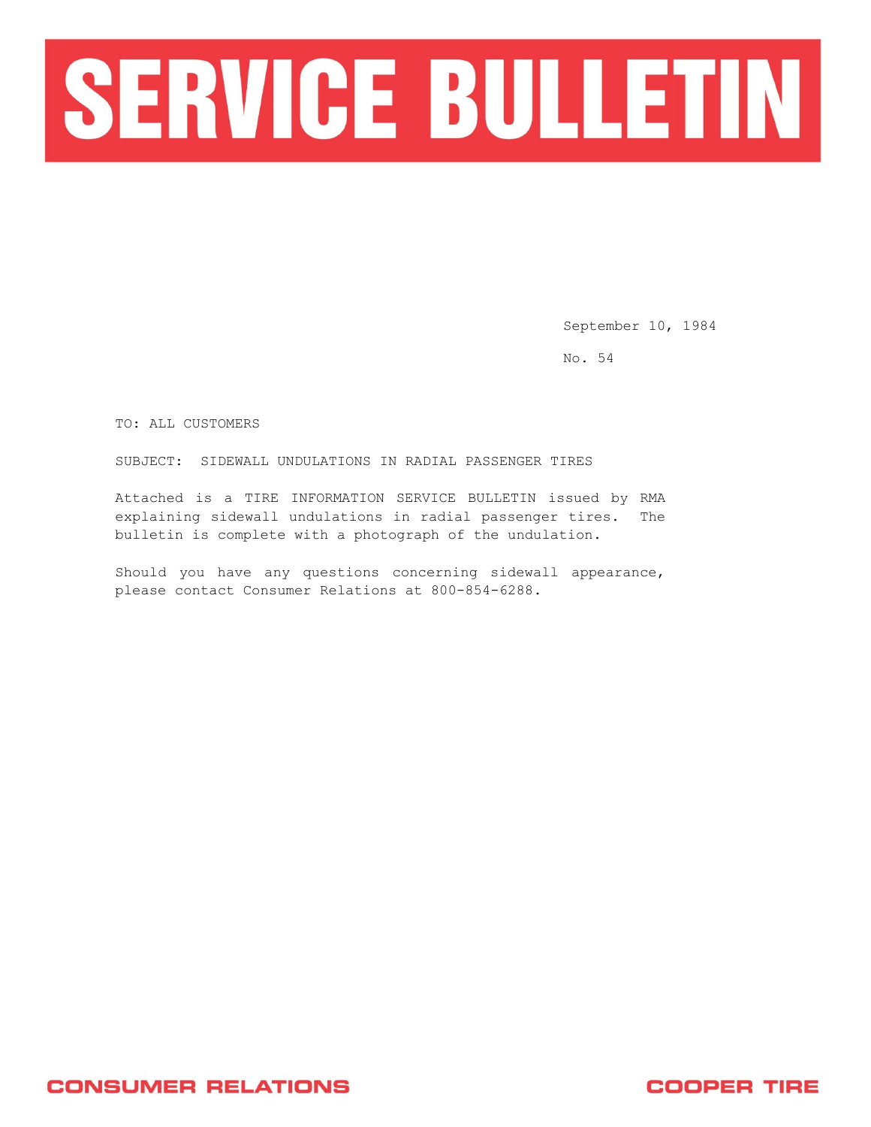

September 10, 1984

No. 54

TO: ALL CUSTOMERS

SUBJECT: SIDEWALL UNDULATIONS IN RADIAL PASSENGER TIRES

Attached is a TIRE INFORMATION SERVICE BULLETIN issued by RMA explaining sidewall undulations in radial passenger tires. The bulletin is complete with a photograph of the undulation.

Should you have any questions concerning sidewall appearance, please contact Consumer Relations at 800-854-6288.

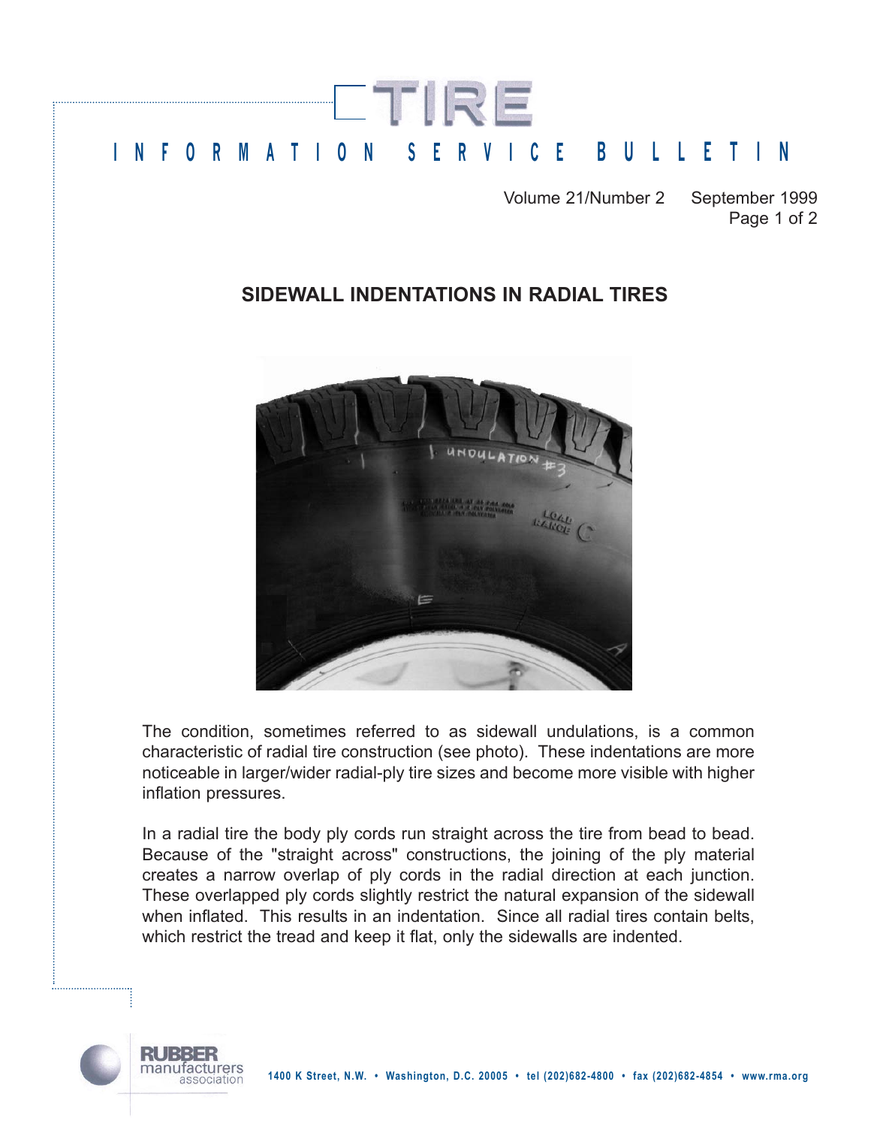

Volume 21/Number 2 September 1999 Page 1 of 2

## **SIDEWALL INDENTATIONS IN RADIAL TIRES**



The condition, sometimes referred to as sidewall undulations, is a common characteristic of radial tire construction (see photo). These indentations are more noticeable in larger/wider radial-ply tire sizes and become more visible with higher inflation pressures.

In a radial tire the body ply cords run straight across the tire from bead to bead. Because of the "straight across" constructions, the joining of the ply material creates a narrow overlap of ply cords in the radial direction at each junction. These overlapped ply cords slightly restrict the natural expansion of the sidewall when inflated. This results in an indentation. Since all radial tires contain belts, which restrict the tread and keep it flat, only the sidewalls are indented.